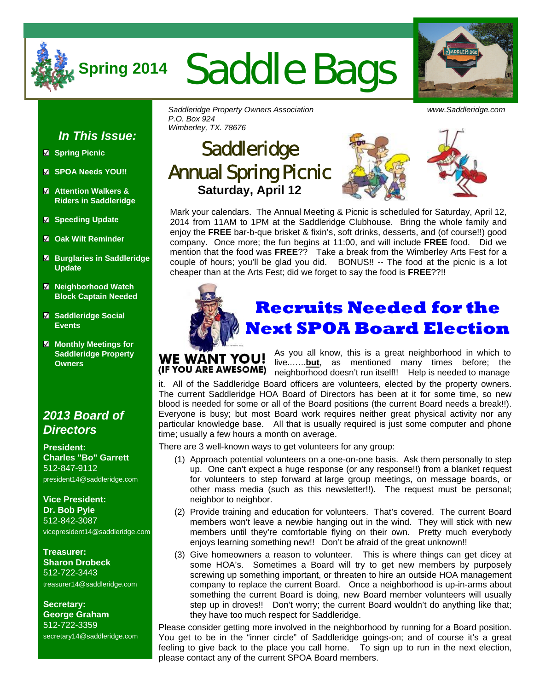

# **Spring 2014** Saddle Bags



#### *In This Issue:*

- **Spring Picnic**
- **SPOA Needs YOU!!**
- **Attention Walkers & Riders in Saddleridge**
- **Speeding Update**
- **Oak Wilt Reminder**
- **Burglaries in Saddleridge Update**
- **Neighborhood Watch Block Captain Needed**
- **Saddleridge Social Events**
- **Monthly Meetings for Saddleridge Property Owners**

#### *2013 Board of Directors*

**President: Charles "Bo" Garrett**  512-847-9112 president14@saddleridge.com

**Vice President: Dr. Bob Pyle** 512-842-3087 vicepresident14@saddleridge.com

**Treasurer: Sharon Drobeck** 512-722-3443 treasurer14@saddleridge.com

**Secretary: George Graham** 512-722-3359 secretary14@saddleridge.com *Saddleridge Property Owners Association www.Saddleridge.com P.O. Box 924 Wimberley, TX. 78676* 

### **Saddleridge** Annual Spring Picnic **Saturday, April 12**



Mark your calendars. The Annual Meeting & Picnic is scheduled for Saturday, April 12, 2014 from 11AM to 1PM at the Saddleridge Clubhouse. Bring the whole family and enjoy the **FREE** bar-b-que brisket & fixin's, soft drinks, desserts, and (of course!!) good company. Once more; the fun begins at 11:00, and will include **FREE** food. Did we mention that the food was **FREE**?? Take a break from the Wimberley Arts Fest for a couple of hours; you'll be glad you did. BONUS!! -- The food at the picnic is a lot cheaper than at the Arts Fest; did we forget to say the food is **FREE**??!!



#### **Recruits Needed for the Next SPOA Board Election**

As you all know, this is a great neighborhood in which to WE WANT YOU! live..…..**but**, as mentioned many times before; the (IF YOU ARE AWESOME) neighborhood doesn't run itself!! Help is needed to manage

it. All of the Saddleridge Board officers are volunteers, elected by the property owners. The current Saddleridge HOA Board of Directors has been at it for some time, so new blood is needed for some or all of the Board positions (the current Board needs a break!!). Everyone is busy; but most Board work requires neither great physical activity nor any particular knowledge base. All that is usually required is just some computer and phone time; usually a few hours a month on average.

There are 3 well-known ways to get volunteers for any group:

- (1) Approach potential volunteers on a one-on-one basis. Ask them personally to step up. One can't expect a huge response (or any response!!) from a blanket request for volunteers to step forward at large group meetings, on message boards, or other mass media (such as this newsletter!!). The request must be personal; neighbor to neighbor.
- (2) Provide training and education for volunteers. That's covered. The current Board members won't leave a newbie hanging out in the wind. They will stick with new members until they're comfortable flying on their own. Pretty much everybody enjoys learning something new!! Don't be afraid of the great unknown!!
- (3) Give homeowners a reason to volunteer. This is where things can get dicey at some HOA's. Sometimes a Board will try to get new members by purposely screwing up something important, or threaten to hire an outside HOA management company to replace the current Board. Once a neighborhood is up-in-arms about something the current Board is doing, new Board member volunteers will usually step up in droves!! Don't worry; the current Board wouldn't do anything like that; they have too much respect for Saddleridge.

Please consider getting more involved in the neighborhood by running for a Board position. You get to be in the "inner circle" of Saddleridge goings-on; and of course it's a great feeling to give back to the place you call home. To sign up to run in the next election, please contact any of the current SPOA Board members.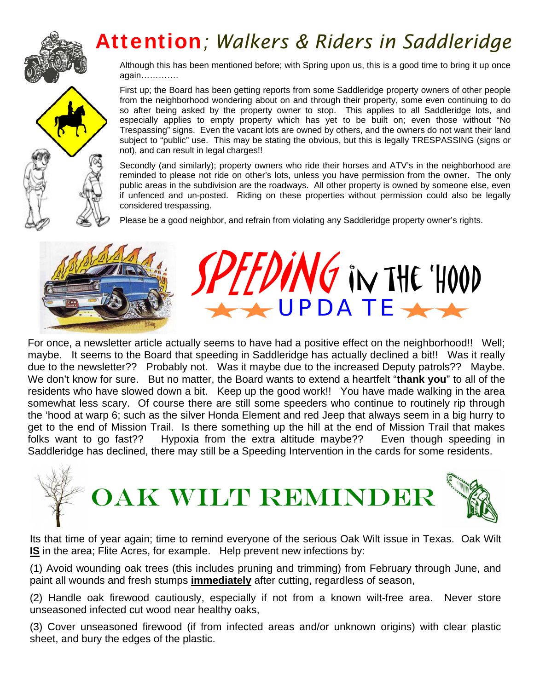# Attention*; Walkers & Riders in Saddleridge*

Although this has been mentioned before; with Spring upon us, this is a good time to bring it up once again………….

First up; the Board has been getting reports from some Saddleridge property owners of other people from the neighborhood wondering about on and through their property, some even continuing to do so after being asked by the property owner to stop. This applies to all Saddleridge lots, and especially applies to empty property which has yet to be built on; even those without "No Trespassing" signs. Even the vacant lots are owned by others, and the owners do not want their land subject to "public" use. This may be stating the obvious, but this is legally TRESPASSING (signs or not), and can result in legal charges!!

Secondly (and similarly); property owners who ride their horses and ATV's in the neighborhood are reminded to please not ride on other's lots, unless you have permission from the owner. The only public areas in the subdivision are the roadways. All other property is owned by someone else, even if unfenced and un-posted. Riding on these properties without permission could also be legally considered trespassing.

VG IN THE 'HOOD

Please be a good neighbor, and refrain from violating any Saddleridge property owner's rights.





Its that time of year again; time to remind everyone of the serious Oak Wilt issue in Texas. Oak Wilt **IS** in the area; Flite Acres, for example. Help prevent new infections by:

(1) Avoid wounding oak trees (this includes pruning and trimming) from February through June, and paint all wounds and fresh stumps **immediately** after cutting, regardless of season,

(2) Handle oak firewood cautiously, especially if not from a known wilt-free area. Never store unseasoned infected cut wood near healthy oaks,

(3) Cover unseasoned firewood (if from infected areas and/or unknown origins) with clear plastic sheet, and bury the edges of the plastic.





 $\frac{1}{2}$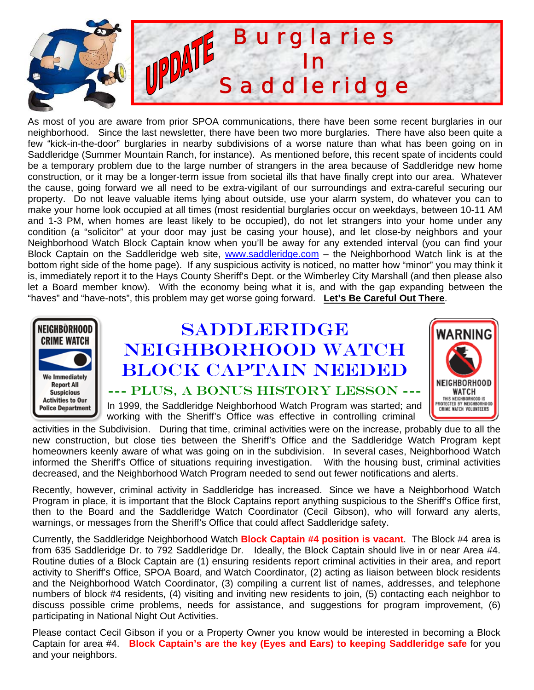

As most of you are aware from prior SPOA communications, there have been some recent burglaries in our neighborhood. Since the last newsletter, there have been two more burglaries. There have also been quite a few "kick-in-the-door" burglaries in nearby subdivisions of a worse nature than what has been going on in Saddleridge (Summer Mountain Ranch, for instance). As mentioned before, this recent spate of incidents could be a temporary problem due to the large number of strangers in the area because of Saddleridge new home construction, or it may be a longer-term issue from societal ills that have finally crept into our area. Whatever the cause, going forward we all need to be extra-vigilant of our surroundings and extra-careful securing our property. Do not leave valuable items lying about outside, use your alarm system, do whatever you can to make your home look occupied at all times (most residential burglaries occur on weekdays, between 10-11 AM and 1-3 PM, when homes are least likely to be occupied), do not let strangers into your home under any condition (a "solicitor" at your door may just be casing your house), and let close-by neighbors and your Neighborhood Watch Block Captain know when you'll be away for any extended interval (you can find your Block Captain on the Saddleridge web site, www.saddleridge.com - the Neighborhood Watch link is at the bottom right side of the home page). If any suspicious activity is noticed, no matter how "minor" you may think it is, immediately report it to the Hays County Sheriff's Dept. or the Wimberley City Marshall (and then please also let a Board member know). With the economy being what it is, and with the gap expanding between the "haves" and "have-nots", this problem may get worse going forward. **Let's Be Careful Out There**.



## Saddleridge Neighborhood Watch Block Captain Needed



--- Plus, a Bonus History Lesson ---

In 1999, the Saddleridge Neighborhood Watch Program was started; and working with the Sheriff's Office was effective in controlling criminal

activities in the Subdivision. During that time, criminal activities were on the increase, probably due to all the new construction, but close ties between the Sheriff's Office and the Saddleridge Watch Program kept homeowners keenly aware of what was going on in the subdivision. In several cases, Neighborhood Watch informed the Sheriff's Office of situations requiring investigation. With the housing bust, criminal activities decreased, and the Neighborhood Watch Program needed to send out fewer notifications and alerts.

Recently, however, criminal activity in Saddleridge has increased. Since we have a Neighborhood Watch Program in place, it is important that the Block Captains report anything suspicious to the Sheriff's Office first, then to the Board and the Saddleridge Watch Coordinator (Cecil Gibson), who will forward any alerts, warnings, or messages from the Sheriff's Office that could affect Saddleridge safety.

Currently, the Saddleridge Neighborhood Watch **Block Captain #4 position is vacant**. The Block #4 area is from 635 Saddleridge Dr. to 792 Saddleridge Dr. Ideally, the Block Captain should live in or near Area #4. Routine duties of a Block Captain are (1) ensuring residents report criminal activities in their area, and report activity to Sheriff's Office, SPOA Board, and Watch Coordinator, (2) acting as liaison between block residents and the Neighborhood Watch Coordinator, (3) compiling a current list of names, addresses, and telephone numbers of block #4 residents, (4) visiting and inviting new residents to join, (5) contacting each neighbor to discuss possible crime problems, needs for assistance, and suggestions for program improvement, (6) participating in National Night Out Activities.

Please contact Cecil Gibson if you or a Property Owner you know would be interested in becoming a Block Captain for area #4. **Block Captain's are the key (Eyes and Ears) to keeping Saddleridge safe** for you and your neighbors.